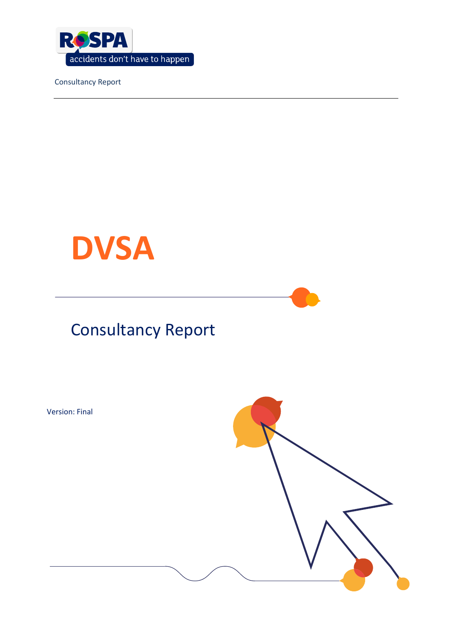

# **DVSA**



### **Consultancy Report**

**Version: Final** 

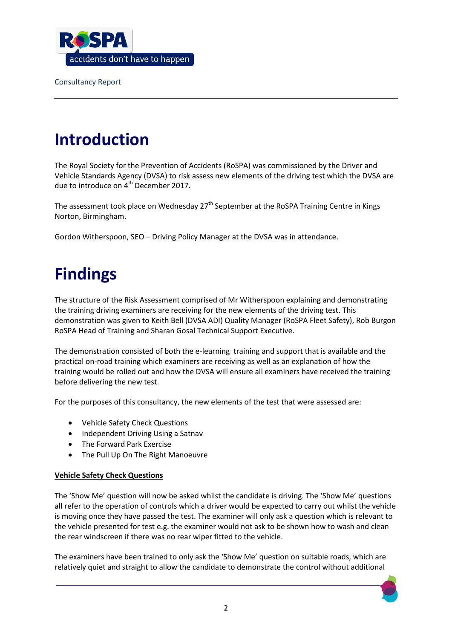

# **Introduction**

 The Royal Society for the Prevention of Accidents (RoSPA) was commissioned by the Driver and Vehicle Standards Agency (DVSA) to risk assess new elements of the driving test which the DVSA are due to introduce on 4<sup>th</sup> December 2017.

The assessment took place on Wednesday 27<sup>th</sup> September at the RoSPA Training Centre in Kings Norton, Birmingham.

Gordon Witherspoon, SEO – Driving Policy Manager at the DVSA was in attendance.

# **Findings**

 the training driving examiners are receiving for the new elements of the driving test. This demonstration was given to Keith Bell (DVSA ADI) Quality Manager (RoSPA Fleet Safety), Rob Burgon The structure of the Risk Assessment comprised of Mr Witherspoon explaining and demonstrating RoSPA Head of Training and Sharan Gosal Technical Support Executive.

 The demonstration consisted of both the e-learning training and support that is available and the before delivering the new test. practical on-road training which examiners are receiving as well as an explanation of how the training would be rolled out and how the DVSA will ensure all examiners have received the training

For the purposes of this consultancy, the new elements of the test that were assessed are:

- Vehicle Safety Check Questions
- Independent Driving Using a Satnav
- The Forward Park Exercise
- The Pull Up On The Right Manoeuvre

### **Vehicle Safety Check Questions**

The 'Show Me' question will now be asked whilst the candidate is driving. The 'Show Me' questions all refer to the operation of controls which a driver would be expected to carry out whilst the vehicle is moving once they have passed the test. The examiner will only ask a question which is relevant to the vehicle presented for test e.g. the examiner would not ask to be shown how to wash and clean the rear windscreen if there was no rear wiper fitted to the vehicle.

The examiners have been trained to only ask the 'Show Me' question on suitable roads, which are relatively quiet and straight to allow the candidate to demonstrate the control without additional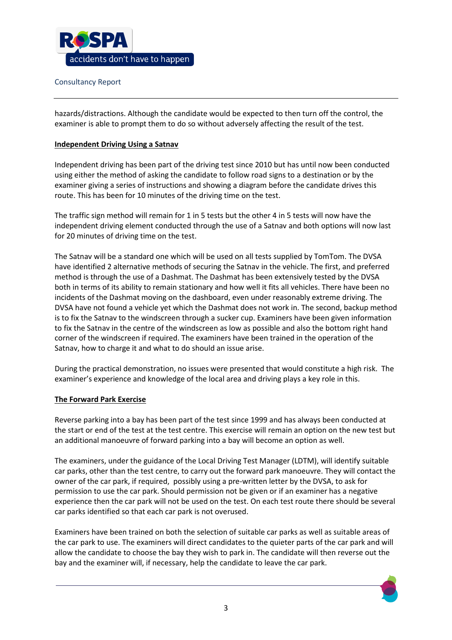

hazards/distractions. Although the candidate would be expected to then turn off the control, the examiner is able to prompt them to do so without adversely affecting the result of the test.

#### **Independent Driving Using a Satnav**

Independent driving has been part of the driving test since 2010 but has until now been conducted using either the method of asking the candidate to follow road signs to a destination or by the examiner giving a series of instructions and showing a diagram before the candidate drives this route. This has been for 10 minutes of the driving time on the test.

 The traffic sign method will remain for 1 in 5 tests but the other 4 in 5 tests will now have the independent driving element conducted through the use of a Satnav and both options will now last for 20 minutes of driving time on the test.

 both in terms of its ability to remain stationary and how well it fits all vehicles. There have been no incidents of the Dashmat moving on the dashboard, even under reasonably extreme driving. The The Satnav will be a standard one which will be used on all tests supplied by TomTom. The DVSA have identified 2 alternative methods of securing the Satnav in the vehicle. The first, and preferred method is through the use of a Dashmat. The Dashmat has been extensively tested by the DVSA DVSA have not found a vehicle yet which the Dashmat does not work in. The second, backup method is to fix the Satnav to the windscreen through a sucker cup. Examiners have been given information to fix the Satnav in the centre of the windscreen as low as possible and also the bottom right hand corner of the windscreen if required. The examiners have been trained in the operation of the Satnav, how to charge it and what to do should an issue arise.

 During the practical demonstration, no issues were presented that would constitute a high risk. The examiner's experience and knowledge of the local area and driving plays a key role in this.

#### **The Forward Park Exercise**

 the start or end of the test at the test centre. This exercise will remain an option on the new test but Reverse parking into a bay has been part of the test since 1999 and has always been conducted at an additional manoeuvre of forward parking into a bay will become an option as well.

 owner of the car park, if required, possibly using a pre-written letter by the DVSA, to ask for permission to use the car park. Should permission not be given or if an examiner has a negative car parks identified so that each car park is not overused. The examiners, under the guidance of the Local Driving Test Manager (LDTM), will identify suitable car parks, other than the test centre, to carry out the forward park manoeuvre. They will contact the experience then the car park will not be used on the test. On each test route there should be several

Examiners have been trained on both the selection of suitable car parks as well as suitable areas of the car park to use. The examiners will direct candidates to the quieter parts of the car park and will allow the candidate to choose the bay they wish to park in. The candidate will then reverse out the bay and the examiner will, if necessary, help the candidate to leave the car park.

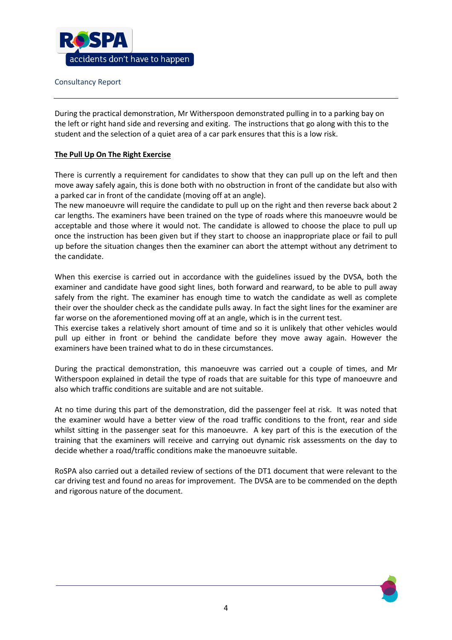

 student and the selection of a quiet area of a car park ensures that this is a low risk. During the practical demonstration, Mr Witherspoon demonstrated pulling in to a parking bay on the left or right hand side and reversing and exiting. The instructions that go along with this to the

### **The Pull Up On The Right Exercise**

 There is currently a requirement for candidates to show that they can pull up on the left and then move away safely again, this is done both with no obstruction in front of the candidate but also with a parked car in front of the candidate (moving off at an angle).

 The new manoeuvre will require the candidate to pull up on the right and then reverse back about 2 car lengths. The examiners have been trained on the type of roads where this manoeuvre would be acceptable and those where it would not. The candidate is allowed to choose the place to pull up once the instruction has been given but if they start to choose an inappropriate place or fail to pull up before the situation changes then the examiner can abort the attempt without any detriment to the candidate.

 examiner and candidate have good sight lines, both forward and rearward, to be able to pull away safely from the right. The examiner has enough time to watch the candidate as well as complete When this exercise is carried out in accordance with the guidelines issued by the DVSA, both the their over the shoulder check as the candidate pulls away. In fact the sight lines for the examiner are far worse on the aforementioned moving off at an angle, which is in the current test.

 This exercise takes a relatively short amount of time and so it is unlikely that other vehicles would pull up either in front or behind the candidate before they move away again. However the examiners have been trained what to do in these circumstances.

 During the practical demonstration, this manoeuvre was carried out a couple of times, and Mr Witherspoon explained in detail the type of roads that are suitable for this type of manoeuvre and also which traffic conditions are suitable and are not suitable.

 At no time during this part of the demonstration, did the passenger feel at risk. It was noted that whilst sitting in the passenger seat for this manoeuvre. A key part of this is the execution of the training that the examiners will receive and carrying out dynamic risk assessments on the day to the examiner would have a better view of the road traffic conditions to the front, rear and side decide whether a road/traffic conditions make the manoeuvre suitable.

 RoSPA also carried out a detailed review of sections of the DT1 document that were relevant to the car driving test and found no areas for improvement. The DVSA are to be commended on the depth and rigorous nature of the document.

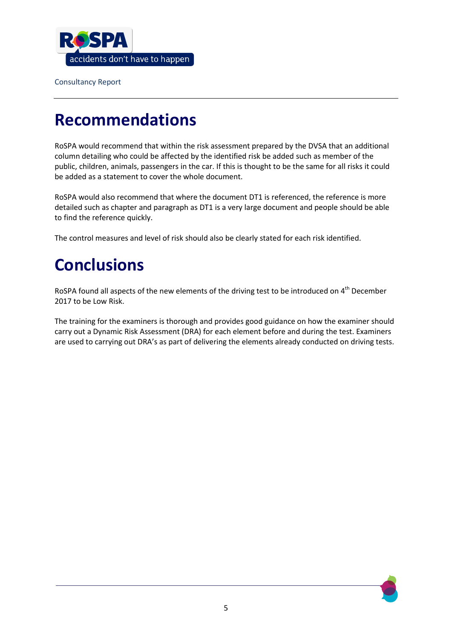

### **Recommendations**

RoSPA would recommend that within the risk assessment prepared by the DVSA that an additional column detailing who could be affected by the identified risk be added such as member of the public, children, animals, passengers in the car. If this is thought to be the same for all risks it could be added as a statement to cover the whole document.

RoSPA would also recommend that where the document DT1 is referenced, the reference is more detailed such as chapter and paragraph as DT1 is a very large document and people should be able to find the reference quickly.

The control measures and level of risk should also be clearly stated for each risk identified.

# **Conclusions**

RoSPA found all aspects of the new elements of the driving test to be introduced on 4<sup>th</sup> December 2017 to be Low Risk.

are used to carrying out DRA's as part of delivering the elements already conducted on driving tests. The training for the examiners is thorough and provides good guidance on how the examiner should carry out a Dynamic Risk Assessment (DRA) for each element before and during the test. Examiners